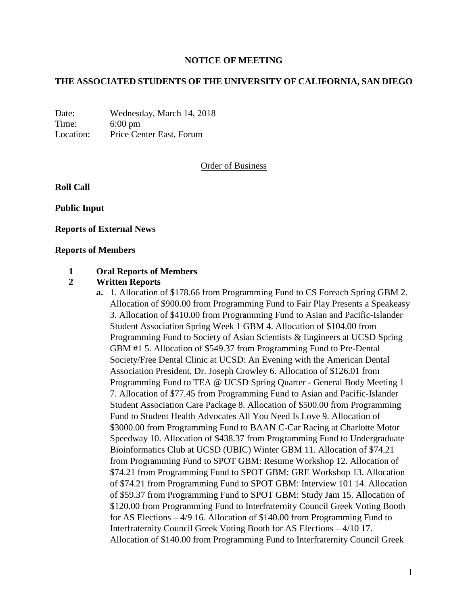## **NOTICE OF MEETING**

## **THE ASSOCIATED STUDENTS OF THE UNIVERSITY OF CALIFORNIA, SAN DIEGO**

Date: Wednesday, March 14, 2018 Time: 6:00 pm Location: Price Center East, Forum

#### Order of Business

**Roll Call**

**Public Input**

**Reports of External News**

#### **Reports of Members**

#### **1 Oral Reports of Members**

## **2 Written Reports**

**a.** 1. Allocation of \$178.66 from Programming Fund to CS Foreach Spring GBM 2. Allocation of \$900.00 from Programming Fund to Fair Play Presents a Speakeasy 3. Allocation of \$410.00 from Programming Fund to Asian and Pacific-Islander Student Association Spring Week 1 GBM 4. Allocation of \$104.00 from Programming Fund to Society of Asian Scientists & Engineers at UCSD Spring GBM #1 5. Allocation of \$549.37 from Programming Fund to Pre-Dental Society/Free Dental Clinic at UCSD: An Evening with the American Dental Association President, Dr. Joseph Crowley 6. Allocation of \$126.01 from Programming Fund to TEA @ UCSD Spring Quarter - General Body Meeting 1 7. Allocation of \$77.45 from Programming Fund to Asian and Pacific-Islander Student Association Care Package 8. Allocation of \$500.00 from Programming Fund to Student Health Advocates All You Need Is Love 9. Allocation of \$3000.00 from Programming Fund to BAAN C-Car Racing at Charlotte Motor Speedway 10. Allocation of \$438.37 from Programming Fund to Undergraduate Bioinformatics Club at UCSD (UBIC) Winter GBM 11. Allocation of \$74.21 from Programming Fund to SPOT GBM: Resume Workshop 12. Allocation of \$74.21 from Programming Fund to SPOT GBM: GRE Workshop 13. Allocation of \$74.21 from Programming Fund to SPOT GBM: Interview 101 14. Allocation of \$59.37 from Programming Fund to SPOT GBM: Study Jam 15. Allocation of \$120.00 from Programming Fund to Interfraternity Council Greek Voting Booth for AS Elections – 4/9 16. Allocation of \$140.00 from Programming Fund to Interfraternity Council Greek Voting Booth for AS Elections – 4/10 17. Allocation of \$140.00 from Programming Fund to Interfraternity Council Greek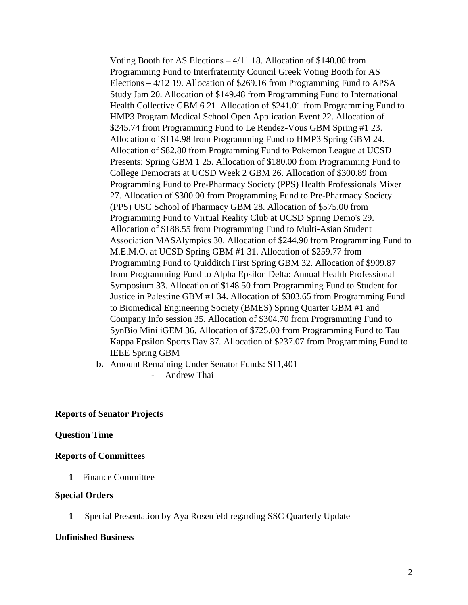Voting Booth for AS Elections – 4/11 18. Allocation of \$140.00 from Programming Fund to Interfraternity Council Greek Voting Booth for AS Elections – 4/12 19. Allocation of \$269.16 from Programming Fund to APSA Study Jam 20. Allocation of \$149.48 from Programming Fund to International Health Collective GBM 6 21. Allocation of \$241.01 from Programming Fund to HMP3 Program Medical School Open Application Event 22. Allocation of \$245.74 from Programming Fund to Le Rendez-Vous GBM Spring #1 23. Allocation of \$114.98 from Programming Fund to HMP3 Spring GBM 24. Allocation of \$82.80 from Programming Fund to Pokemon League at UCSD Presents: Spring GBM 1 25. Allocation of \$180.00 from Programming Fund to College Democrats at UCSD Week 2 GBM 26. Allocation of \$300.89 from Programming Fund to Pre-Pharmacy Society (PPS) Health Professionals Mixer 27. Allocation of \$300.00 from Programming Fund to Pre-Pharmacy Society (PPS) USC School of Pharmacy GBM 28. Allocation of \$575.00 from Programming Fund to Virtual Reality Club at UCSD Spring Demo's 29. Allocation of \$188.55 from Programming Fund to Multi-Asian Student Association MASAlympics 30. Allocation of \$244.90 from Programming Fund to M.E.M.O. at UCSD Spring GBM #1 31. Allocation of \$259.77 from Programming Fund to Quidditch First Spring GBM 32. Allocation of \$909.87 from Programming Fund to Alpha Epsilon Delta: Annual Health Professional Symposium 33. Allocation of \$148.50 from Programming Fund to Student for Justice in Palestine GBM #1 34. Allocation of \$303.65 from Programming Fund to Biomedical Engineering Society (BMES) Spring Quarter GBM #1 and Company Info session 35. Allocation of \$304.70 from Programming Fund to SynBio Mini iGEM 36. Allocation of \$725.00 from Programming Fund to Tau Kappa Epsilon Sports Day 37. Allocation of \$237.07 from Programming Fund to IEEE Spring GBM

**b.** Amount Remaining Under Senator Funds: \$11,401

- Andrew Thai

## **Reports of Senator Projects**

## **Question Time**

## **Reports of Committees**

**1** Finance Committee

#### **Special Orders**

**1** Special Presentation by Aya Rosenfeld regarding SSC Quarterly Update

#### **Unfinished Business**